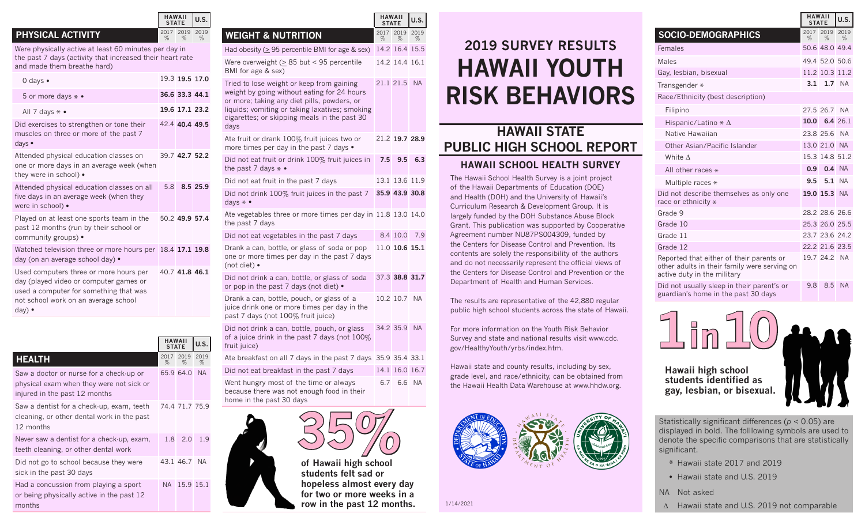#### **PHYSICAL ACTIVITY**

Were physically active at least 60 minutes per day in the past 7 days (activity that increased their heart rate and made them breathe hard)

| 0 days $\bullet$                                                                                                                                                                     |     | 19.3 19.5 17.0 |          |
|--------------------------------------------------------------------------------------------------------------------------------------------------------------------------------------|-----|----------------|----------|
| 5 or more days $* \bullet$                                                                                                                                                           |     | 36.6 33.3 44.1 |          |
| All 7 days $* \bullet$                                                                                                                                                               |     | 19.6 17.1 23.2 |          |
| Did exercises to strengthen or tone their<br>muscles on three or more of the past 7<br>days $\bullet$                                                                                |     | 42 4 40 4 49 5 |          |
| Attended physical education classes on<br>one or more days in an average week (when<br>they were in school) •                                                                        |     | 39.7 42.7 52.2 |          |
| Attended physical education classes on all<br>five days in an average week (when they<br>were in school) •                                                                           | 5.8 |                | 8.5 25.9 |
| Played on at least one sports team in the<br>past 12 months (run by their school or<br>community groups) •                                                                           |     | 50.2 49.9 57.4 |          |
| Watched television three or more hours per<br>day (on an average school day) •                                                                                                       |     | 18.4 17.1 19.8 |          |
| Used computers three or more hours per<br>day (played video or computer games or<br>used a computer for something that was<br>not school work on an average school<br>day) $\bullet$ |     | 40.7 41.8 46.1 |          |

|                                                                                                                      |              | <b>HAWAII</b><br><b>STATE</b> |              |  |  |
|----------------------------------------------------------------------------------------------------------------------|--------------|-------------------------------|--------------|--|--|
| <b>HEALTH</b>                                                                                                        | 2017<br>$\%$ | 2019<br>$\%$                  | 2019<br>$\%$ |  |  |
| Saw a doctor or nurse for a check-up or<br>physical exam when they were not sick or<br>injured in the past 12 months |              | 65.9 64.0                     | <b>NA</b>    |  |  |
| Saw a dentist for a check-up, exam, teeth<br>cleaning, or other dental work in the past<br>12 months                 |              | 74.4 71.7 75.9                |              |  |  |
| Never saw a dentist for a check-up, exam,<br>teeth cleaning, or other dental work                                    |              | 1.8 2.0                       | 1.9          |  |  |
| Did not go to school because they were<br>sick in the past 30 days                                                   |              | 43.1 46.7                     | NA.          |  |  |
| Had a concussion from playing a sport<br>or being physically active in the past 12<br>months                         | NA.          |                               | 15.9 15.1    |  |  |

**HAWAII**

**HAWAII STATE U.S.**

> 2019 2019 %

%

%

|                                                                                                                                                                                                                                                   | <b>HAWAII</b><br><b>STATE</b> |                | U.S.         |
|---------------------------------------------------------------------------------------------------------------------------------------------------------------------------------------------------------------------------------------------------|-------------------------------|----------------|--------------|
| <b>WEIGHT &amp; NUTRITION</b>                                                                                                                                                                                                                     | 2017<br>%                     | 2019<br>%      | 2019<br>$\%$ |
| Had obesity ( $\geq$ 95 percentile BMI for age & sex)                                                                                                                                                                                             |                               | 14.2 16.4 15.5 |              |
| Were overweight ( $\geq$ 85 but < 95 percentile<br>BMI for age & sex)                                                                                                                                                                             |                               | 14.2 14.4 16.1 |              |
| Tried to lose weight or keep from gaining<br>weight by going without eating for 24 hours<br>or more; taking any diet pills, powders, or<br>liquids; vomiting or taking laxatives; smoking<br>cigarettes; or skipping meals in the past 30<br>days |                               | 21.1 21.5      | <b>NA</b>    |
| Ate fruit or drank 100% fruit juices two or<br>more times per day in the past 7 days .                                                                                                                                                            |                               | 21.2 19.7 28.9 |              |
| Did not eat fruit or drink 100% fruit juices in<br>the past 7 days $* \bullet$                                                                                                                                                                    | 7.5                           | 9.5            | 6.3          |
| Did not eat fruit in the past 7 days                                                                                                                                                                                                              |                               | 13.1 13.6 11.9 |              |
| Did not drink 100% fruit juices in the past 7<br>days $* \bullet$                                                                                                                                                                                 |                               | 35.9 43.9 30.8 |              |
| Ate vegetables three or more times per day in 11.8 13.0 14.0<br>the past 7 days                                                                                                                                                                   |                               |                |              |
| Did not eat vegetables in the past 7 days                                                                                                                                                                                                         |                               | 8.4 10.0       | 7.9          |
| Drank a can, bottle, or glass of soda or pop<br>one or more times per day in the past 7 days<br>(not diet) •                                                                                                                                      |                               | 11.0 10.6 15.1 |              |
| Did not drink a can, bottle, or glass of soda<br>or pop in the past 7 days (not diet) .                                                                                                                                                           |                               | 37.3 38.8 31.7 |              |
| Drank a can, bottle, pouch, or glass of a<br>juice drink one or more times per day in the<br>past 7 days (not 100% fruit juice)                                                                                                                   |                               | 10.2 10.7 NA   |              |
| Did not drink a can, bottle, pouch, or glass<br>of a juice drink in the past 7 days (not 100%<br>fruit juice)                                                                                                                                     |                               | 34.2 35.9 NA   |              |
| Ate breakfast on all 7 days in the past 7 days 35.9 35.4 33.1                                                                                                                                                                                     |                               |                |              |
| Did not eat breakfast in the past 7 days                                                                                                                                                                                                          |                               | 14.1 16.0 16.7 |              |
| Went hungry most of the time or always<br>because there was not enough food in their                                                                                                                                                              |                               | 6.7 6.6 NA     |              |

**of Hawaii high school students felt sad or** 

**35%**

home in the past 30 days

**hopeless almost every day for two or more weeks in a row in the past 12 months.**

# **HAWAII YOUTH RISK BEHAVIORS 2019 SURVEY RESULTS**

## **HAWAII STATE PUBLIC HIGH SCHOOL REPORT**

#### **HAWAII SCHOOL HEALTH SURVEY**

The Hawaii School Health Survey is a joint project of the Hawaii Departments of Education (DOE) and Health (DOH) and the University of Hawaii's Curriculum Research & Development Group. It is largely funded by the DOH Substance Abuse Block Grant. This publication was supported by Cooperative Agreement number NU87PS004309, funded by the Centers for Disease Control and Prevention. Its contents are solely the responsibility of the authors and do not necessarily represent the official views of the Centers for Disease Control and Prevention or the Department of Health and Human Services.

The results are representative of the 42,880 regular public high school students across the state of Hawaii.

For more information on the Youth Risk Behavior Survey and state and national results visit www.cdc. gov/HealthyYouth/yrbs/index.htm.

Hawaii state and county results, including by sex, grade level, and race/ethnicity, can be obtained from the Hawaii Health Data Warehouse at www.hhdw.org.



1/14/2021

|                                                                                                                         |           | <b>HAWAII</b><br><b>STATE</b> | U.S.         |
|-------------------------------------------------------------------------------------------------------------------------|-----------|-------------------------------|--------------|
| <b>SOCIO-DEMOGRAPHICS</b>                                                                                               | 2017<br>% | 2019<br>%                     | 2019<br>$\%$ |
| Females                                                                                                                 |           | 50.6 48.0 49.4                |              |
| Males                                                                                                                   |           | 49.4 52.0 50.6                |              |
| Gay, lesbian, bisexual                                                                                                  |           | 11.2 10.3 11.2                |              |
| Transgender *                                                                                                           |           | 3.1 1.7 NA                    |              |
| Race/Ethnicity (best description)                                                                                       |           |                               |              |
| Filipino                                                                                                                |           | 27.5 26.7 NA                  |              |
| Hispanic/Latino $* \Delta$                                                                                              |           | $10.0 \quad 6.4 \quad 26.1$   |              |
| Native Hawaiian                                                                                                         |           | 23.8 25.6 NA                  |              |
| Other Asian/Pacific Islander                                                                                            |           | 13.0 21.0 NA                  |              |
| White $\Lambda$                                                                                                         |           | 15.3 14.8 51.2                |              |
| All other races *                                                                                                       |           | $0.9$ 0.4 NA                  |              |
| Multiple races *                                                                                                        |           | 9.5 5.1 NA                    |              |
| Did not describe themselves as only one<br>race or ethnicity *                                                          |           | 19.0 15.3 NA                  |              |
| Grade 9                                                                                                                 |           | 28.2 28.6 26.6                |              |
| Grade 10                                                                                                                |           | 25.3 26.0 25.5                |              |
| Grade 11                                                                                                                |           | 23.7 23.6 24.2                |              |
| Grade 12                                                                                                                |           | 22.2 21.6 23.5                |              |
| Reported that either of their parents or<br>other adults in their family were serving on<br>active duty in the military |           | 19.7 24.2 NA                  |              |
| Did not usually sleep in their parent's or                                                                              | 9.8       | 8.5                           | <b>NA</b>    |

Did not usually sleep in their parent's or guardian's home in the past 30 days



Statistically significant differences (*p* < 0.05) are displayed in bold. The folllowing symbols are used to denote the specific comparisons that are statistically significant.

- \* Hawaii state 2017 and 2019
- Hawaii state and U.S. 2019
- NA Not asked
- ∆ Hawaii state and U.S. 2019 not comparable